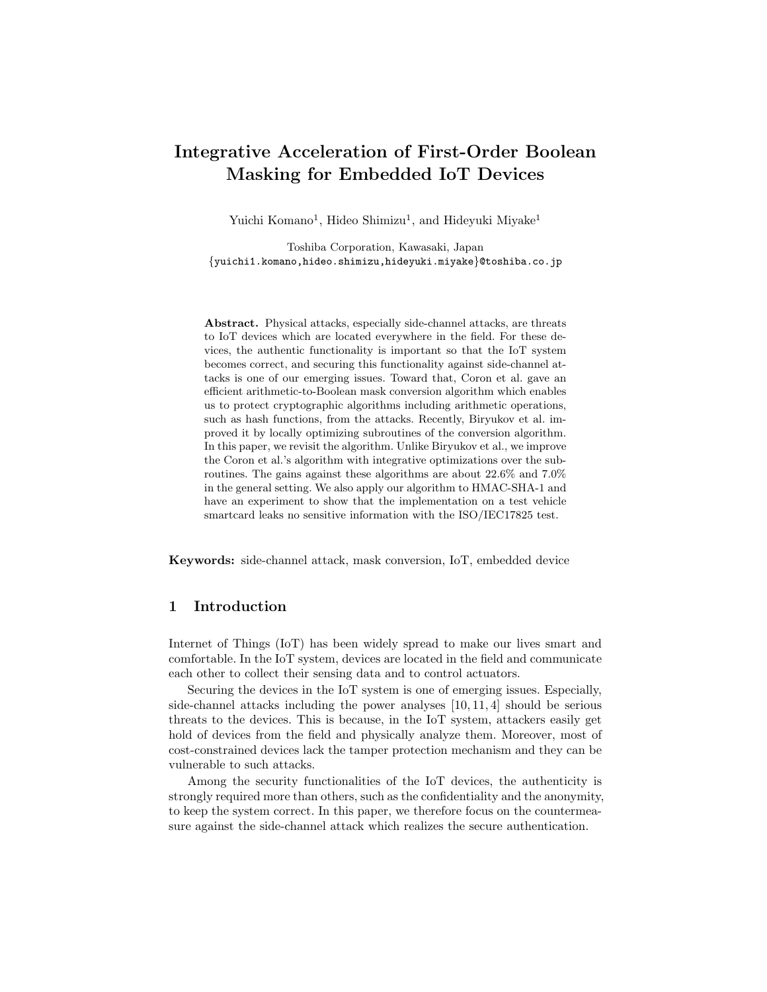# **Integrative Acceleration of First-Order Boolean Masking for Embedded IoT Devices**

Yuichi Komano<sup>1</sup>, Hideo Shimizu<sup>1</sup>, and Hideyuki Miyake<sup>1</sup>

Toshiba Corporation, Kawasaki, Japan *{*yuichi1.komano,hideo.shimizu,hideyuki.miyake*}*@toshiba.co.jp

**Abstract.** Physical attacks, especially side-channel attacks, are threats to IoT devices which are located everywhere in the field. For these devices, the authentic functionality is important so that the IoT system becomes correct, and securing this functionality against side-channel attacks is one of our emerging issues. Toward that, Coron et al. gave an efficient arithmetic-to-Boolean mask conversion algorithm which enables us to protect cryptographic algorithms including arithmetic operations, such as hash functions, from the attacks. Recently, Biryukov et al. improved it by locally optimizing subroutines of the conversion algorithm. In this paper, we revisit the algorithm. Unlike Biryukov et al., we improve the Coron et al.'s algorithm with integrative optimizations over the subroutines. The gains against these algorithms are about 22*.*6% and 7*.*0% in the general setting. We also apply our algorithm to HMAC-SHA-1 and have an experiment to show that the implementation on a test vehicle smartcard leaks no sensitive information with the ISO/IEC17825 test.

**Keywords:** side-channel attack, mask conversion, IoT, embedded device

# **1 Introduction**

Internet of Things (IoT) has been widely spread to make our lives smart and comfortable. In the IoT system, devices are located in the field and communicate each other to collect their sensing data and to control actuators.

Securing the devices in the IoT system is one of emerging issues. Especially, side-channel attacks including the power analyses [10, 11, 4] should be serious threats to the devices. This is because, in the IoT system, attackers easily get hold of devices from the field and physically analyze them. Moreover, most of cost-constrained devices lack the tamper protection mechanism and they can be vulnerable to such attacks.

Among the security functionalities of the IoT devices, the authenticity is strongly required more than others, such as the confidentiality and the anonymity, to keep the system correct. In this paper, we therefore focus on the countermeasure against the side-channel attack which realizes the secure authentication.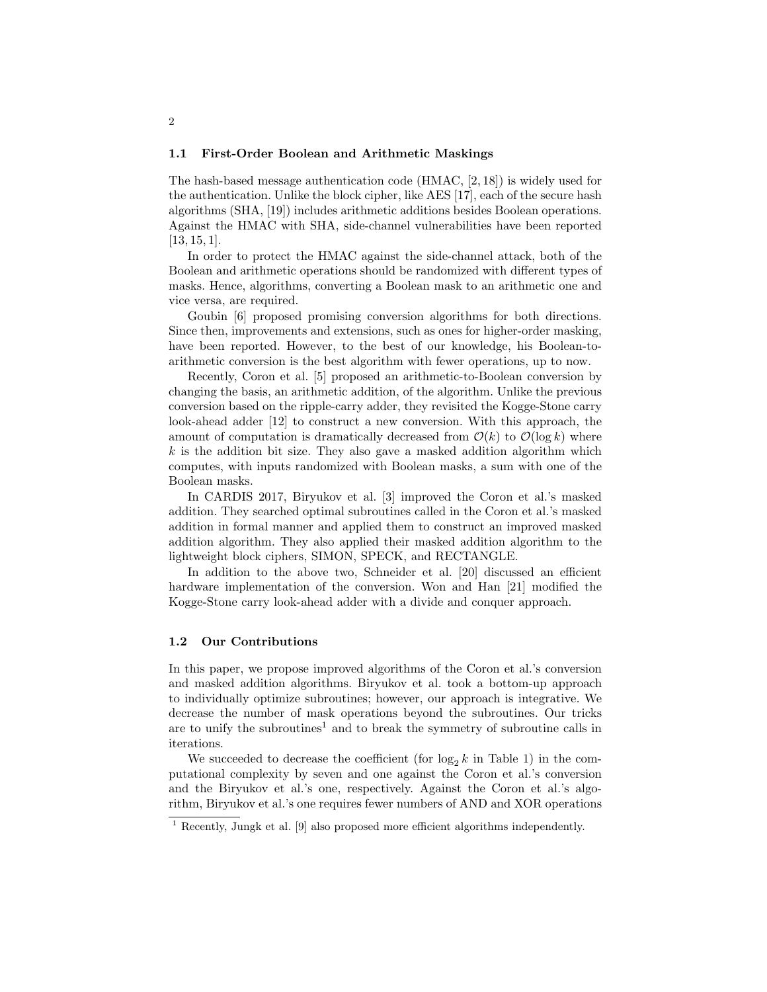#### **1.1 First-Order Boolean and Arithmetic Maskings**

The hash-based message authentication code (HMAC, [2, 18]) is widely used for the authentication. Unlike the block cipher, like AES [17], each of the secure hash algorithms (SHA, [19]) includes arithmetic additions besides Boolean operations. Against the HMAC with SHA, side-channel vulnerabilities have been reported [13, 15, 1].

In order to protect the HMAC against the side-channel attack, both of the Boolean and arithmetic operations should be randomized with different types of masks. Hence, algorithms, converting a Boolean mask to an arithmetic one and vice versa, are required.

Goubin [6] proposed promising conversion algorithms for both directions. Since then, improvements and extensions, such as ones for higher-order masking, have been reported. However, to the best of our knowledge, his Boolean-toarithmetic conversion is the best algorithm with fewer operations, up to now.

Recently, Coron et al. [5] proposed an arithmetic-to-Boolean conversion by changing the basis, an arithmetic addition, of the algorithm. Unlike the previous conversion based on the ripple-carry adder, they revisited the Kogge-Stone carry look-ahead adder [12] to construct a new conversion. With this approach, the amount of computation is dramatically decreased from  $\mathcal{O}(k)$  to  $\mathcal{O}(\log k)$  where *k* is the addition bit size. They also gave a masked addition algorithm which computes, with inputs randomized with Boolean masks, a sum with one of the Boolean masks.

In CARDIS 2017, Biryukov et al. [3] improved the Coron et al.'s masked addition. They searched optimal subroutines called in the Coron et al.'s masked addition in formal manner and applied them to construct an improved masked addition algorithm. They also applied their masked addition algorithm to the lightweight block ciphers, SIMON, SPECK, and RECTANGLE.

In addition to the above two, Schneider et al. [20] discussed an efficient hardware implementation of the conversion. Won and Han [21] modified the Kogge-Stone carry look-ahead adder with a divide and conquer approach.

## **1.2 Our Contributions**

In this paper, we propose improved algorithms of the Coron et al.'s conversion and masked addition algorithms. Biryukov et al. took a bottom-up approach to individually optimize subroutines; however, our approach is integrative. We decrease the number of mask operations beyond the subroutines. Our tricks are to unify the subroutines<sup>1</sup> and to break the symmetry of subroutine calls in iterations.

We succeeded to decrease the coefficient (for  $log_2 k$  in Table 1) in the computational complexity by seven and one against the Coron et al.'s conversion and the Biryukov et al.'s one, respectively. Against the Coron et al.'s algorithm, Biryukov et al.'s one requires fewer numbers of AND and XOR operations

<sup>1</sup> Recently, Jungk et al. [9] also proposed more efficient algorithms independently.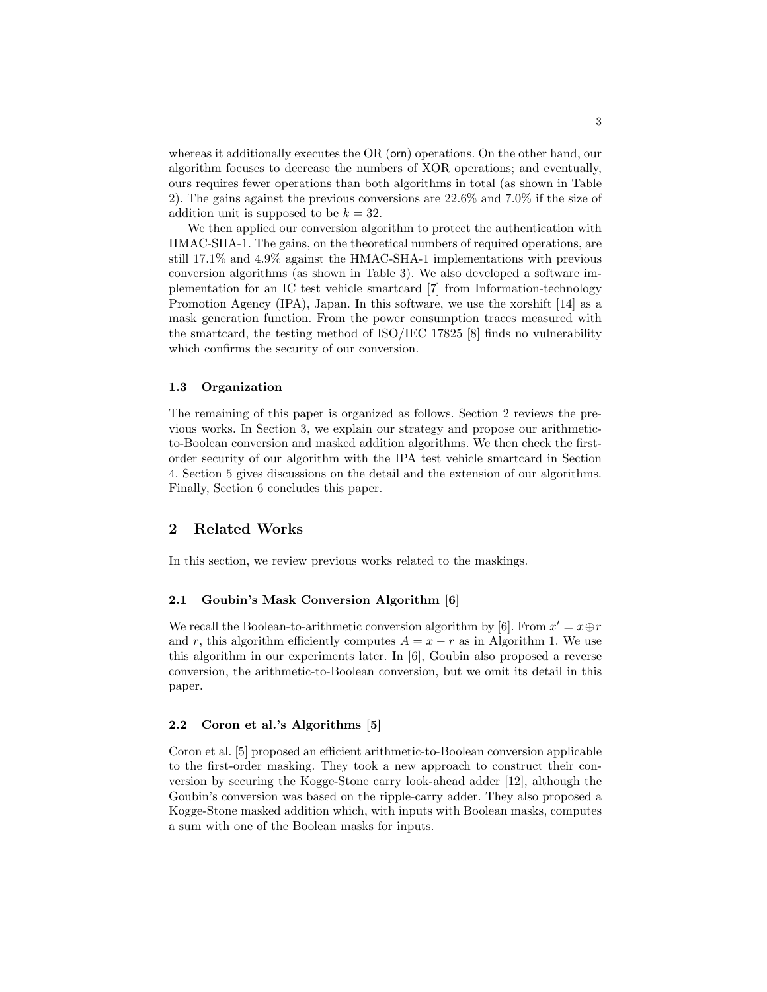whereas it additionally executes the OR (orn) operations. On the other hand, our algorithm focuses to decrease the numbers of XOR operations; and eventually, ours requires fewer operations than both algorithms in total (as shown in Table 2). The gains against the previous conversions are 22*.*6% and 7*.*0% if the size of addition unit is supposed to be  $k = 32$ .

We then applied our conversion algorithm to protect the authentication with HMAC-SHA-1. The gains, on the theoretical numbers of required operations, are still 17*.*1% and 4*.*9% against the HMAC-SHA-1 implementations with previous conversion algorithms (as shown in Table 3). We also developed a software implementation for an IC test vehicle smartcard [7] from Information-technology Promotion Agency (IPA), Japan. In this software, we use the xorshift [14] as a mask generation function. From the power consumption traces measured with the smartcard, the testing method of ISO/IEC 17825 [8] finds no vulnerability which confirms the security of our conversion.

#### **1.3 Organization**

The remaining of this paper is organized as follows. Section 2 reviews the previous works. In Section 3, we explain our strategy and propose our arithmeticto-Boolean conversion and masked addition algorithms. We then check the firstorder security of our algorithm with the IPA test vehicle smartcard in Section 4. Section 5 gives discussions on the detail and the extension of our algorithms. Finally, Section 6 concludes this paper.

## **2 Related Works**

In this section, we review previous works related to the maskings.

#### **2.1 Goubin's Mask Conversion Algorithm [6]**

We recall the Boolean-to-arithmetic conversion algorithm by [6]. From  $x' = x \oplus r$ and *r*, this algorithm efficiently computes  $A = x - r$  as in Algorithm 1. We use this algorithm in our experiments later. In [6], Goubin also proposed a reverse conversion, the arithmetic-to-Boolean conversion, but we omit its detail in this paper.

## **2.2 Coron et al.'s Algorithms [5]**

Coron et al. [5] proposed an efficient arithmetic-to-Boolean conversion applicable to the first-order masking. They took a new approach to construct their conversion by securing the Kogge-Stone carry look-ahead adder [12], although the Goubin's conversion was based on the ripple-carry adder. They also proposed a Kogge-Stone masked addition which, with inputs with Boolean masks, computes a sum with one of the Boolean masks for inputs.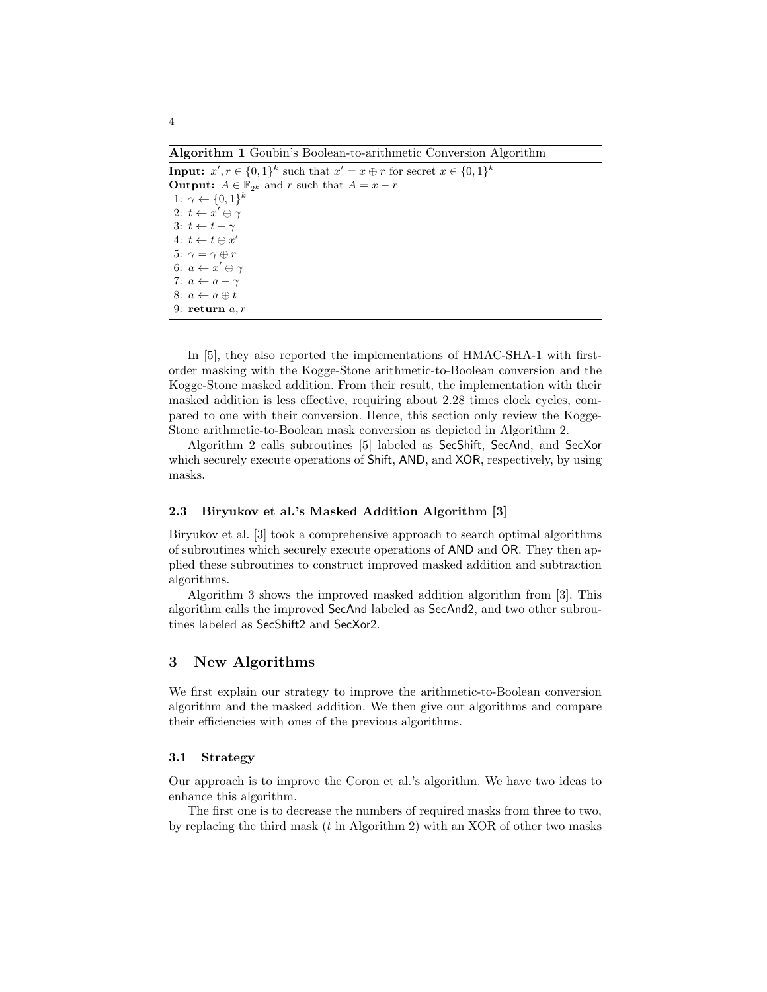**Algorithm 1** Goubin's Boolean-to-arithmetic Conversion Algorithm

**Input:**  $x', r \in \{0, 1\}^k$  such that  $x' = x \oplus r$  for secret  $x \in \{0, 1\}^k$ **Output:**  $A \in \mathbb{F}_{2^k}$  and  $r$  such that  $A = x - r$ 1: *γ ← {*0*,* 1*} k* 2: *t ← x ′ ⊕ γ* 3:  $t \leftarrow t - \gamma$  $4: t \leftarrow t \oplus x'$ 5:  $\gamma = \gamma \oplus r$ 6: *a ← x ′ ⊕ γ* 7:  $a \leftarrow a - \gamma$ 8:  $a \leftarrow a \oplus t$ 9: **return** *a, r*

In [5], they also reported the implementations of HMAC-SHA-1 with firstorder masking with the Kogge-Stone arithmetic-to-Boolean conversion and the Kogge-Stone masked addition. From their result, the implementation with their masked addition is less effective, requiring about 2*.*28 times clock cycles, compared to one with their conversion. Hence, this section only review the Kogge-Stone arithmetic-to-Boolean mask conversion as depicted in Algorithm 2.

Algorithm 2 calls subroutines [5] labeled as SecShift, SecAnd, and SecXor which securely execute operations of Shift, AND, and XOR, respectively, by using masks.

## **2.3 Biryukov et al.'s Masked Addition Algorithm [3]**

Biryukov et al. [3] took a comprehensive approach to search optimal algorithms of subroutines which securely execute operations of AND and OR. They then applied these subroutines to construct improved masked addition and subtraction algorithms.

Algorithm 3 shows the improved masked addition algorithm from [3]. This algorithm calls the improved SecAnd labeled as SecAnd2, and two other subroutines labeled as SecShift2 and SecXor2.

# **3 New Algorithms**

We first explain our strategy to improve the arithmetic-to-Boolean conversion algorithm and the masked addition. We then give our algorithms and compare their efficiencies with ones of the previous algorithms.

#### **3.1 Strategy**

Our approach is to improve the Coron et al.'s algorithm. We have two ideas to enhance this algorithm.

The first one is to decrease the numbers of required masks from three to two, by replacing the third mask (*t* in Algorithm 2) with an XOR of other two masks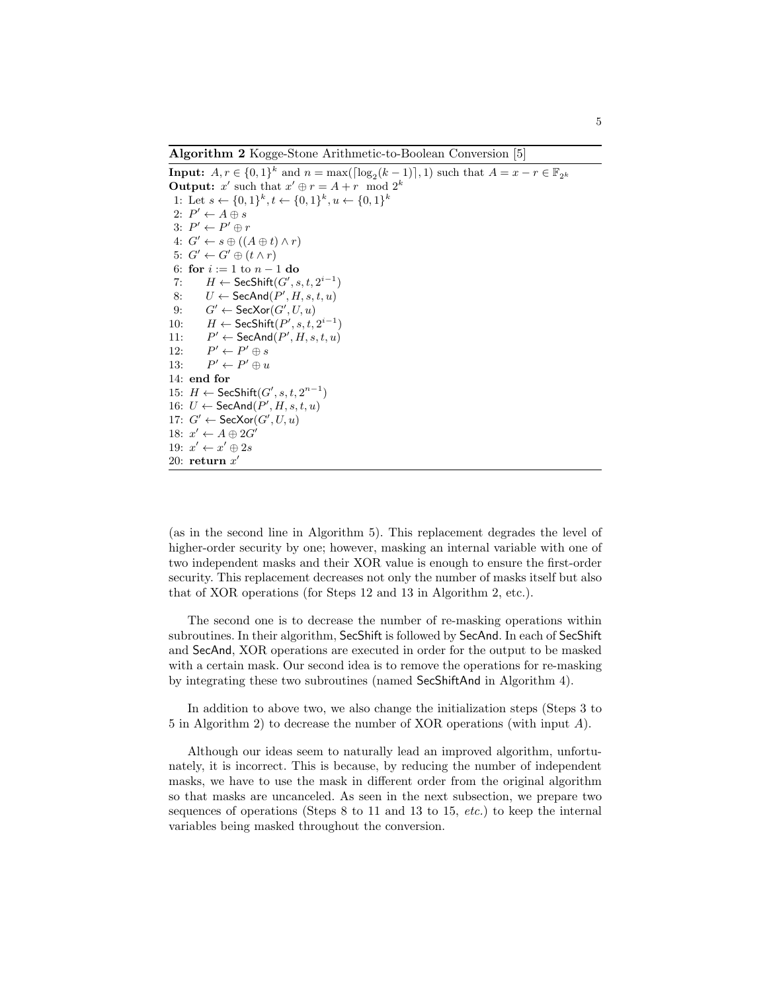**Algorithm 2** Kogge-Stone Arithmetic-to-Boolean Conversion [5]

**Input:**  $A, r \in \{0, 1\}^k$  and  $n = \max(\lceil \log_2(k-1) \rceil, 1)$  such that  $A = x - r \in \mathbb{F}_{2^k}$ **Output:**  $x'$  such that  $x' \oplus r = A + r \mod 2^k$ 1: Let  $s \leftarrow \{0, 1\}^k, t \leftarrow \{0, 1\}^k, u \leftarrow \{0, 1\}^k$ 2:  $P' \leftarrow A \oplus s$  $3: P' \leftarrow P' \oplus r$  $4: G' \leftarrow s \oplus ((A \oplus t) \wedge r)$  $G' \leftarrow G' \oplus (t \wedge r)$ 6: **for** *i* := 1 to *n −* 1 **do** 7: *H* ← SecShift $(G', s, t, 2^{i-1})$ 8:  $U \leftarrow \mathsf{SecAnd}(P', H, s, t, u)$  $G' \leftarrow \mathsf{SecXor}(G', U, u)$ 10:  $H \leftarrow \mathsf{SecShift}(P', s, t, 2^{i-1})$ 11: *P*  $\mathcal{C} \leftarrow \mathsf{SecAnd}(P',H,s,t,u)$ 12: *P*  $\prime$   $\leftarrow$   $P' \oplus s$ 13: *P*  $\prime \leftarrow P' \oplus u$ 14: **end for** 15: *H* ← SecShift $(G', s, t, 2^{n-1})$ 16:  $U$  ← SecAnd $(P', H, s, t, u)$ 17:  $G' \leftarrow \mathsf{SecXor}(G', U, u)$ 18:  $x' \leftarrow A \oplus 2G'$ 19:  $x' \leftarrow x' \oplus 2s$ 20: **return** *x ′*

(as in the second line in Algorithm 5). This replacement degrades the level of higher-order security by one; however, masking an internal variable with one of two independent masks and their XOR value is enough to ensure the first-order security. This replacement decreases not only the number of masks itself but also that of XOR operations (for Steps 12 and 13 in Algorithm 2, etc.).

The second one is to decrease the number of re-masking operations within subroutines. In their algorithm, SecShift is followed by SecAnd. In each of SecShift and SecAnd, XOR operations are executed in order for the output to be masked with a certain mask. Our second idea is to remove the operations for re-masking by integrating these two subroutines (named SecShiftAnd in Algorithm 4).

In addition to above two, we also change the initialization steps (Steps 3 to 5 in Algorithm 2) to decrease the number of XOR operations (with input *A*).

Although our ideas seem to naturally lead an improved algorithm, unfortunately, it is incorrect. This is because, by reducing the number of independent masks, we have to use the mask in different order from the original algorithm so that masks are uncanceled. As seen in the next subsection, we prepare two sequences of operations (Steps 8 to 11 and 13 to 15, *etc.*) to keep the internal variables being masked throughout the conversion.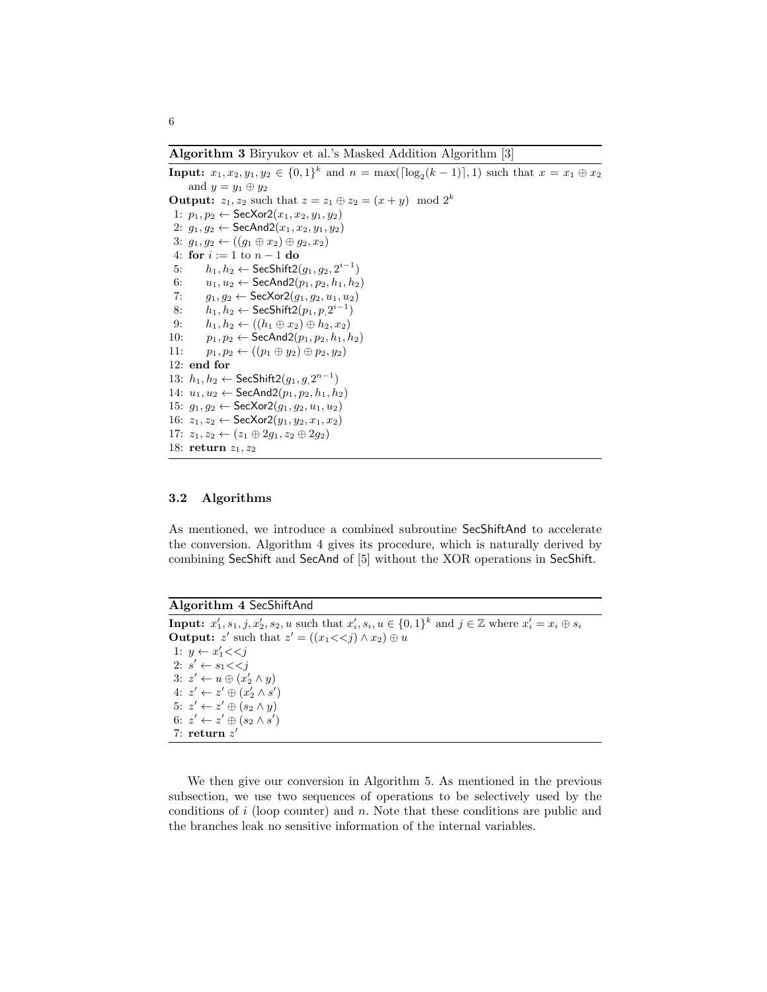**Algorithm 3** Biryukov et al.'s Masked Addition Algorithm [3]

**Input:**  $x_1, x_2, y_1, y_2 \in \{0, 1\}^k$  and  $n = \max(\lceil \log_2(k-1) \rceil, 1)$  such that  $x = x_1 \oplus x_2$ and  $y = y_1 \oplus y_2$ **Output:**  $z_1, z_2$  such that  $z = z_1 \oplus z_2 = (x + y) \mod 2^k$ 1:  $p_1, p_2$  ← SecXor2( $x_1, x_2, y_1, y_2$ ) 2: *g*1*, g*<sup>2</sup> *←* SecAnd2(*x*1*, x*2*, y*1*, y*2) 3:  $g_1, g_2$  ←  $((g_1 ⊕ x_2) ⊕ g_2, x_2)$ 4: **for** *i* := 1 to *n −* 1 **do** 5: *h*<sub>1</sub>, *h*<sub>2</sub> ← SecShift2( $g_1, g_2, 2^{i-1}$ ) 6: *u*1*, u*<sup>2</sup> *←* SecAnd2(*p*1*, p*2*, h*1*, h*2) 7: *g*1*, g*<sup>2</sup> *←* SecXor2(*g*1*, g*2*, u*1*, u*2) 8: *h*<sub>1</sub>, *h*<sub>2</sub> ← SecShift2(*p*<sub>1</sub>, *p*<sub>,</sub>2<sup>*i*−1</sup>) 9:  $h_1, h_2 \leftarrow ((h_1 ⊕ x_2) ⊕ h_2, x_2)$ 10:  $p_1, p_2 \leftarrow \text{SecAnd2}(p_1, p_2, h_1, h_2)$ 11:  $p_1, p_2 \leftarrow ((p_1 \oplus y_2) \oplus p_2, y_2)$ 12: **end for** 13:  $h_1, h_2$  ← SecShift2 $(g_1, g_1, 2^{n-1})$ 14:  $u_1, u_2$  ← SecAnd2( $p_1, p_2, h_1, h_2$ ) 15: *g*1*, g*<sup>2</sup> *←* SecXor2(*g*1*, g*2*, u*1*, u*2) 16:  $z_1, z_2$  ← SecXor2( $y_1, y_2, x_1, x_2$ ) 17: *z*1*, z*<sup>2</sup> *←* (*z*<sup>1</sup> *⊕* 2*g*1*, z*<sup>2</sup> *⊕* 2*g*2) 18: **return** *z*1*, z*<sup>2</sup>

## **3.2 Algorithms**

As mentioned, we introduce a combined subroutine SecShiftAnd to accelerate the conversion. Algorithm 4 gives its procedure, which is naturally derived by combining SecShift and SecAnd of [5] without the XOR operations in SecShift.

**Algorithm 4** SecShiftAnd

**Input:**  $x'_1, s_1, j, x'_2, s_2, u$  such that  $x'_i, s_i, u \in \{0, 1\}^k$  and  $j \in \mathbb{Z}$  where  $x'_i = x_i \oplus s_i$ **Output:**  $z'$  such that  $z' = ((x_1 \lt \lt j) \wedge x_2) \oplus u$ 1: *y* ← *x*<sup>'</sup><sub>1</sub><<*j* 2:  $s' \leftarrow s_1 \ll s_j$ 3:  $z' \leftarrow u \oplus (x_2' \land y)$  $4: z' \leftarrow z' \oplus (x_2' \wedge s')$  $5: z' \leftarrow z' \oplus (s_2 \wedge y)$  $6: z' \leftarrow z' \oplus (s_2 \wedge s')$ 7: **return** *z ′*

We then give our conversion in Algorithm 5. As mentioned in the previous subsection, we use two sequences of operations to be selectively used by the conditions of *i* (loop counter) and *n*. Note that these conditions are public and the branches leak no sensitive information of the internal variables.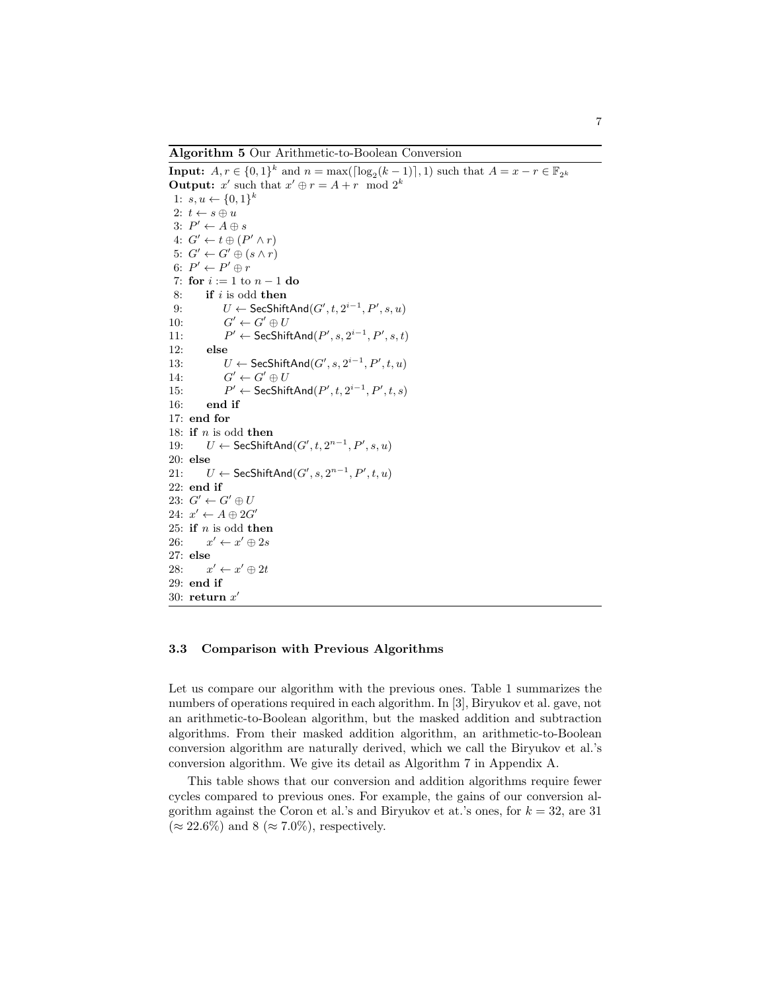**Algorithm 5** Our Arithmetic-to-Boolean Conversion

**Input:**  $A, r \in \{0, 1\}^k$  and  $n = \max(\lceil \log_2(k-1) \rceil, 1)$  such that  $A = x - r \in \mathbb{F}_{2^k}$ **Output:**  $x'$  such that  $x' \oplus r = A + r \mod 2^k$ 1:  $s, u \leftarrow \{0, 1\}^k$ 2:  $t \leftarrow s \oplus u$  $3: P' \leftarrow A \oplus s$  $4: G' \leftarrow t \oplus (P' \wedge r)$  $5: G' \leftarrow G' \oplus (s \wedge r)$  $6: P' \leftarrow P' \oplus r$ 7: **for** *i* := 1 to *n −* 1 **do** 8: **if** *i* is odd **then** 9:  $U \leftarrow \mathsf{SecShiftAnd}(G', t, 2^{i-1}, P', s, u)$ 10: *G*  $\prime \leftarrow G' \oplus U$ 11: *P ′ ←* SecShiftAnd(*P ′ , s,* 2 *i−*1 *, P′ , s, t*) 12: **else** 13:  $U \leftarrow \mathsf{SecShiftAnd}(G', s, 2^{i-1}, P', t, u)$ 14: *G*  $\prime \leftarrow G' \oplus U$ 15: *P*  $\mathcal{C}$  ← SecShiftAnd $(P', t, 2^{i-1}, P', t, s)$ 16: **end if** 17: **end for** 18: **if** *n* is odd **then** 19:  $U \leftarrow \mathsf{SecShiftAnd}(G', t, 2^{n-1}, P', s, u)$ 20: **else** 21: *U* ← SecShiftAnd( $G'$ , s,  $2^{n-1}$ ,  $P'$ ,  $t$ ,  $u$ ) 22: **end if** 23:  $G' \leftarrow G' \oplus U$  $24: x' \leftarrow A \oplus 2G'$ 25: **if** *n* is odd **then** 26: *x*  $\prime \leftarrow x' \oplus 2s$ 27: **else** 28: *x ′ ← x ′ ⊕* 2*t* 29: **end if** 30: **return** *x ′*

#### **3.3 Comparison with Previous Algorithms**

Let us compare our algorithm with the previous ones. Table 1 summarizes the numbers of operations required in each algorithm. In [3], Biryukov et al. gave, not an arithmetic-to-Boolean algorithm, but the masked addition and subtraction algorithms. From their masked addition algorithm, an arithmetic-to-Boolean conversion algorithm are naturally derived, which we call the Biryukov et al.'s conversion algorithm. We give its detail as Algorithm 7 in Appendix A.

This table shows that our conversion and addition algorithms require fewer cycles compared to previous ones. For example, the gains of our conversion algorithm against the Coron et al.'s and Biryukov et at.'s ones, for *k* = 32, are 31 (*≈* 22*.*6%) and 8 (*≈* 7*.*0%), respectively.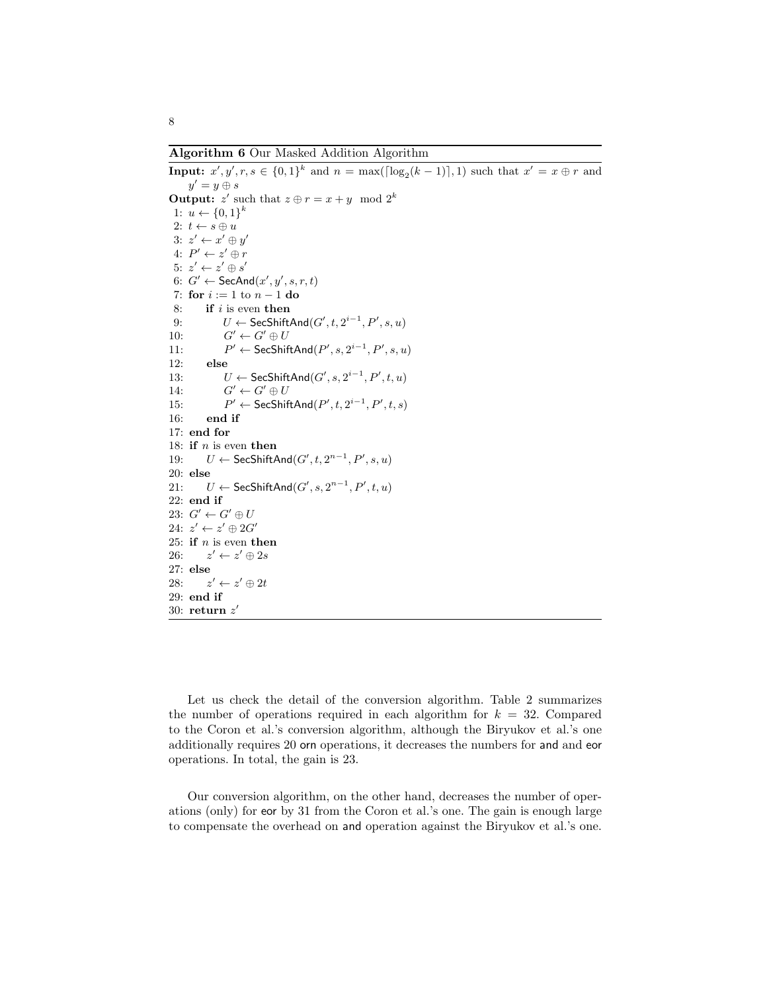**Algorithm 6** Our Masked Addition Algorithm

```
Input: x', y', r, s \in \{0, 1\}^k and n = \max([\log_2(k-1)], 1) such that x' = x \oplus r and
     y' = y \oplus sOutput: z' such that z \oplus r = x + y \mod 2^k1: u \leftarrow \{0, 1\}^k2: t \leftarrow s \oplus u3: z' \leftarrow x' \oplus y'4: P' \leftarrow z' \oplus r5: z' \leftarrow z' \oplus s'6: G' \leftarrow \mathsf{SecAnd}(x', y', s, r, t)7: for i := 1 to n − 1 do
 8: if i is even then
 9: U \leftarrow \mathsf{SecShiftAnd}(G', t, 2^{i-1}, P', s, u)10: G
                 \prime' \leftarrow G' \oplus U11: P
                 ′ ← SecShiftAnd(P
′
, s, 2
i−1
, P′
, s, u)
12: else
13: U \leftarrow \mathsf{SecShiftAnd}(G', s, 2^{i-1}, P', t, u)14: G
                 \prime \leftarrow G' \oplus U15: P
                 ' ← SecShiftAnd(P', t, 2^{i-1}, P', t, s)16: end if
17: end for
18: if n is even then
19: U ← SecShiftAnd(G', t, 2^{n-1}, P', s, u)
20: else
21: U ← SecShiftAnd(G', s, 2^{n-1}, P', t, u)
22: end if
23: G' \leftarrow G' \oplus U24: z' \leftarrow z' \oplus 2G'25: if n is even then
26: z
           \prime \leftarrow z' \oplus 2s27: else
28: z
           \prime \leftarrow z' \oplus 2t29: end if
30: return z
′
```
Let us check the detail of the conversion algorithm. Table 2 summarizes the number of operations required in each algorithm for  $k = 32$ . Compared to the Coron et al.'s conversion algorithm, although the Biryukov et al.'s one additionally requires 20 orn operations, it decreases the numbers for and and eor operations. In total, the gain is 23.

Our conversion algorithm, on the other hand, decreases the number of operations (only) for eor by 31 from the Coron et al.'s one. The gain is enough large to compensate the overhead on and operation against the Biryukov et al.'s one.

8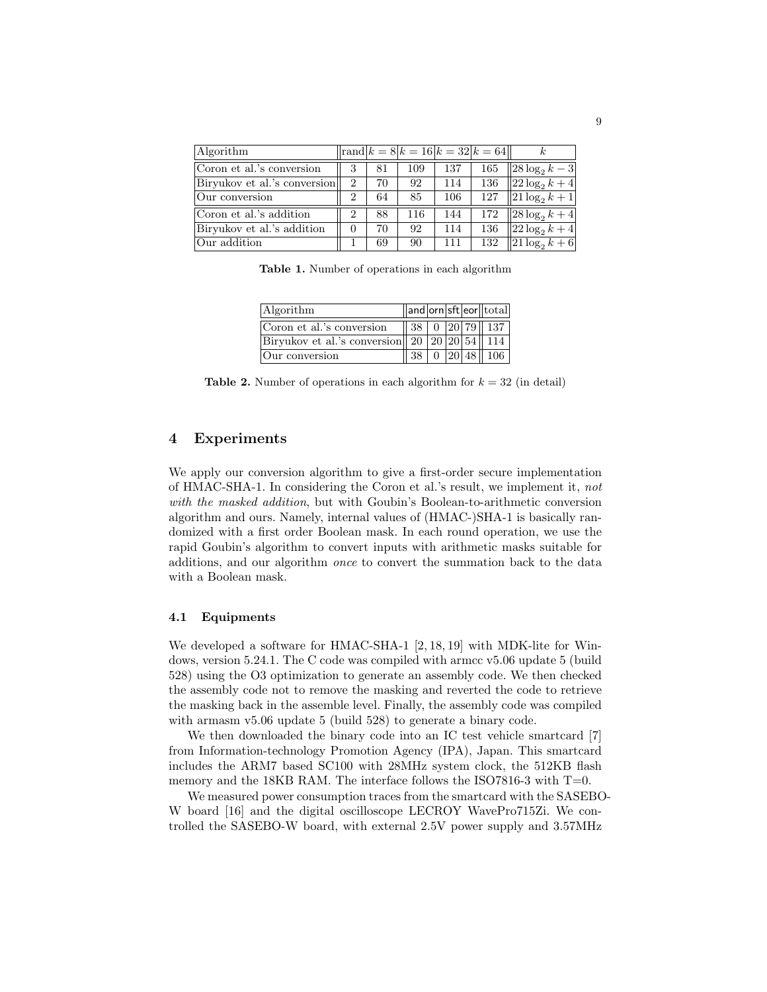| Algorithm                    |                |    |     |     | $\vert \text{rand} \vert k = 8 \vert k = 16 \vert k = 32 \vert k = 64 \vert$ |                          |
|------------------------------|----------------|----|-----|-----|------------------------------------------------------------------------------|--------------------------|
| Coron et al.'s conversion    | 3              | 81 | 109 | 137 | 165                                                                          | $  28 \log_2 k - 3  $    |
| Biryukov et al.'s conversion | $\overline{2}$ | 70 | 92  | 114 | 136                                                                          | $22\log_2 k + 4$         |
| Our conversion               | 2              | 64 | 85  | 106 | 127                                                                          | $  21\log_2 k + 1  $     |
| Coron et al.'s addition      | 2              | 88 | 116 | 144 | 172                                                                          | $\sqrt{28 \log_2 k + 4}$ |
| Biryukov et al.'s addition   |                | 70 | 92  | 114 | 136                                                                          | $  22\log_2 k + 4  $     |
| Our addition                 |                | 69 | 90  | 111 | 132                                                                          | $\sqrt{21 \log_2 k + 6}$ |

**Table 1.** Number of operations in each algorithm

| Algorithm                                                    |    |  | $\ \text{and} \text{orn} \text{sft} \text{eor}\ \text{total}\ $            |
|--------------------------------------------------------------|----|--|----------------------------------------------------------------------------|
| Coron et al.'s conversion                                    |    |  | $\parallel$ 38 $\parallel$ 0 $\parallel$ 20 $\parallel$ 79 $\parallel$ 137 |
| Biryukov et al.'s conversion 20   20   20   $\frac{54}{114}$ |    |  |                                                                            |
| Our conversion                                               | 38 |  | 20 48  106                                                                 |

**Table 2.** Number of operations in each algorithm for  $k = 32$  (in detail)

## **4 Experiments**

We apply our conversion algorithm to give a first-order secure implementation of HMAC-SHA-1. In considering the Coron et al.'s result, we implement it, *not with the masked addition*, but with Goubin's Boolean-to-arithmetic conversion algorithm and ours. Namely, internal values of (HMAC-)SHA-1 is basically randomized with a first order Boolean mask. In each round operation, we use the rapid Goubin's algorithm to convert inputs with arithmetic masks suitable for additions, and our algorithm *once* to convert the summation back to the data with a Boolean mask.

## **4.1 Equipments**

We developed a software for HMAC-SHA-1 [2, 18, 19] with MDK-lite for Windows, version 5.24.1. The C code was compiled with armcc v5.06 update 5 (build 528) using the O3 optimization to generate an assembly code. We then checked the assembly code not to remove the masking and reverted the code to retrieve the masking back in the assemble level. Finally, the assembly code was compiled with armasm v5.06 update 5 (build 528) to generate a binary code.

We then downloaded the binary code into an IC test vehicle smartcard [7] from Information-technology Promotion Agency (IPA), Japan. This smartcard includes the ARM7 based SC100 with 28MHz system clock, the 512KB flash memory and the 18KB RAM. The interface follows the ISO7816-3 with  $T=0$ .

We measured power consumption traces from the smartcard with the SASEBO-W board [16] and the digital oscilloscope LECROY WavePro715Zi. We controlled the SASEBO-W board, with external 2.5V power supply and 3.57MHz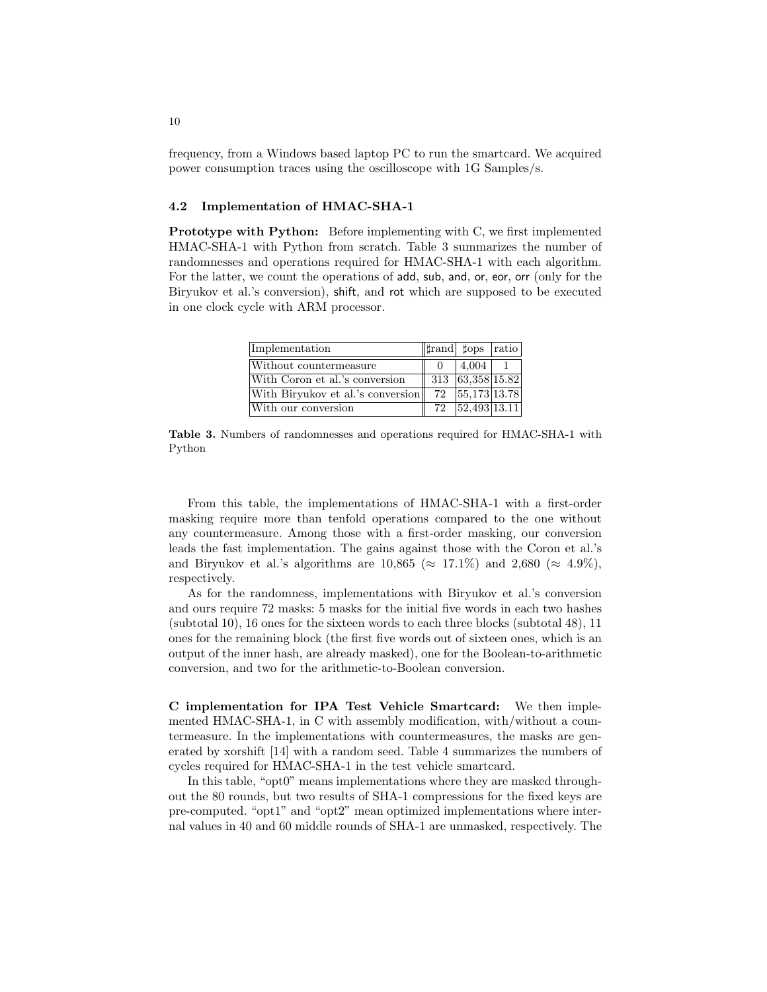frequency, from a Windows based laptop PC to run the smartcard. We acquired power consumption traces using the oscilloscope with 1G Samples/s.

## **4.2 Implementation of HMAC-SHA-1**

**Prototype with Python:** Before implementing with C, we first implemented HMAC-SHA-1 with Python from scratch. Table 3 summarizes the number of randomnesses and operations required for HMAC-SHA-1 with each algorithm. For the latter, we count the operations of add, sub, and, or, eor, orr (only for the Biryukov et al.'s conversion), shift, and rot which are supposed to be executed in one clock cycle with ARM processor.

| Implementation                    |    | $\ \text{trand} \,\,\text{fops} $ ratio |  |
|-----------------------------------|----|-----------------------------------------|--|
| Without countermeasure            |    | 4,004                                   |  |
| With Coron et al.'s conversion    |    | 313 63,358 15.82                        |  |
| With Biryukov et al.'s conversion | 72 | $\overline{3,173 13.78}$                |  |
| With our conversion               | 72 | $\overline{52,493 13.11}$               |  |

**Table 3.** Numbers of randomnesses and operations required for HMAC-SHA-1 with Python

From this table, the implementations of HMAC-SHA-1 with a first-order masking require more than tenfold operations compared to the one without any countermeasure. Among those with a first-order masking, our conversion leads the fast implementation. The gains against those with the Coron et al.'s and Biryukov et al.'s algorithms are  $10,865 \approx 17.1\%$  and  $2,680 \approx 4.9\%$ , respectively.

As for the randomness, implementations with Biryukov et al.'s conversion and ours require 72 masks: 5 masks for the initial five words in each two hashes (subtotal 10), 16 ones for the sixteen words to each three blocks (subtotal 48), 11 ones for the remaining block (the first five words out of sixteen ones, which is an output of the inner hash, are already masked), one for the Boolean-to-arithmetic conversion, and two for the arithmetic-to-Boolean conversion.

**C implementation for IPA Test Vehicle Smartcard:** We then implemented HMAC-SHA-1, in C with assembly modification, with/without a countermeasure. In the implementations with countermeasures, the masks are generated by xorshift [14] with a random seed. Table 4 summarizes the numbers of cycles required for HMAC-SHA-1 in the test vehicle smartcard.

In this table, "opt0" means implementations where they are masked throughout the 80 rounds, but two results of SHA-1 compressions for the fixed keys are pre-computed. "opt1" and "opt2" mean optimized implementations where internal values in 40 and 60 middle rounds of SHA-1 are unmasked, respectively. The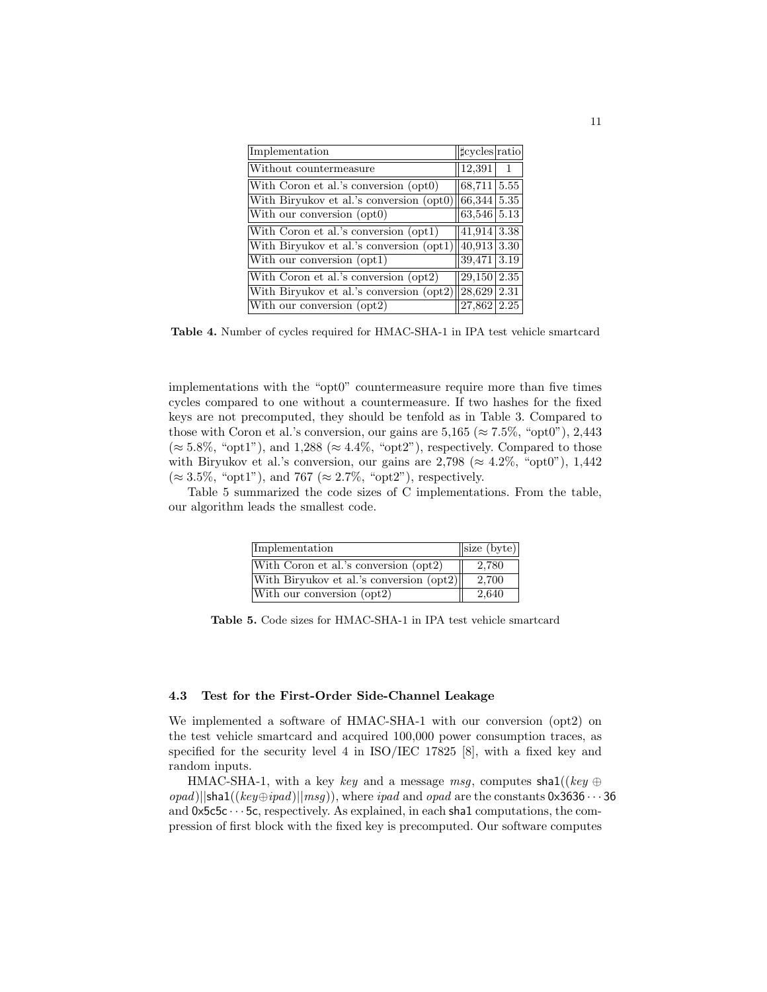| Implementation                                                | $ $ tcycles $ $ ratio |    |
|---------------------------------------------------------------|-----------------------|----|
| Without countermeasure                                        | 12,391                | -1 |
| With Coron et al.'s conversion (opt0)                         | $68,711$   $5.55$     |    |
| With Biryukov et al.'s conversion (opt0)                      | 66,344 5.35           |    |
| With our conversion (opt0)                                    | $63,546$ 5.13         |    |
| With Coron et al.'s conversion (opt1)                         | $41,914$ 3.38         |    |
| With Biryukov et al.'s conversion $(\text{opt1})$ 40,913 3.30 |                       |    |
| With our conversion (opt1)                                    | $39,471$ 3.19         |    |
| With Coron et al.'s conversion (opt2)                         | $29,150$   $2.35$     |    |
| With Biryukov et al.'s conversion (opt2)                      | 28,629 2.31           |    |
| With our conversion (opt2)                                    | $27,862$ 2.25         |    |

**Table 4.** Number of cycles required for HMAC-SHA-1 in IPA test vehicle smartcard

implementations with the "opt0" countermeasure require more than five times cycles compared to one without a countermeasure. If two hashes for the fixed keys are not precomputed, they should be tenfold as in Table 3. Compared to those with Coron et al.'s conversion, our gains are  $5,165 \approx 7.5\%$ , "opt0"), 2,443 (*≈* 5*.*8%, "opt1"), and 1,288 (*≈* 4*.*4%, "opt2"), respectively. Compared to those with Biryukov et al.'s conversion, our gains are  $2,798 \approx 4.2\%$ , "opt0"), 1,442 (*≈* 3*.*5%, "opt1"), and 767 (*≈* 2*.*7%, "opt2"), respectively.

Table 5 summarized the code sizes of C implementations. From the table, our algorithm leads the smallest code.

| Implementation                           | $\vert$ size (byte) $\vert$ |
|------------------------------------------|-----------------------------|
| With Coron et al.'s conversion (opt2)    | 2,780                       |
| With Biryukov et al.'s conversion (opt2) | 2,700                       |
| With our conversion (opt2)               | 2,640                       |

**Table 5.** Code sizes for HMAC-SHA-1 in IPA test vehicle smartcard

## **4.3 Test for the First-Order Side-Channel Leakage**

We implemented a software of HMAC-SHA-1 with our conversion (opt2) on the test vehicle smartcard and acquired 100,000 power consumption traces, as specified for the security level 4 in ISO/IEC 17825 [8], with a fixed key and random inputs.

HMAC-SHA-1, with a key *key* and a message msg, computes shal((*key*  $\oplus$  $\langle \text{opad} \rangle$ ||sha1((*key* $\oplus$ *ipad*)||*msg*)), where *ipad* and *opad* are the constants 0x3636 · · · 36 and  $0 \times 5c5c \cdots 5c$ , respectively. As explained, in each shal computations, the compression of first block with the fixed key is precomputed. Our software computes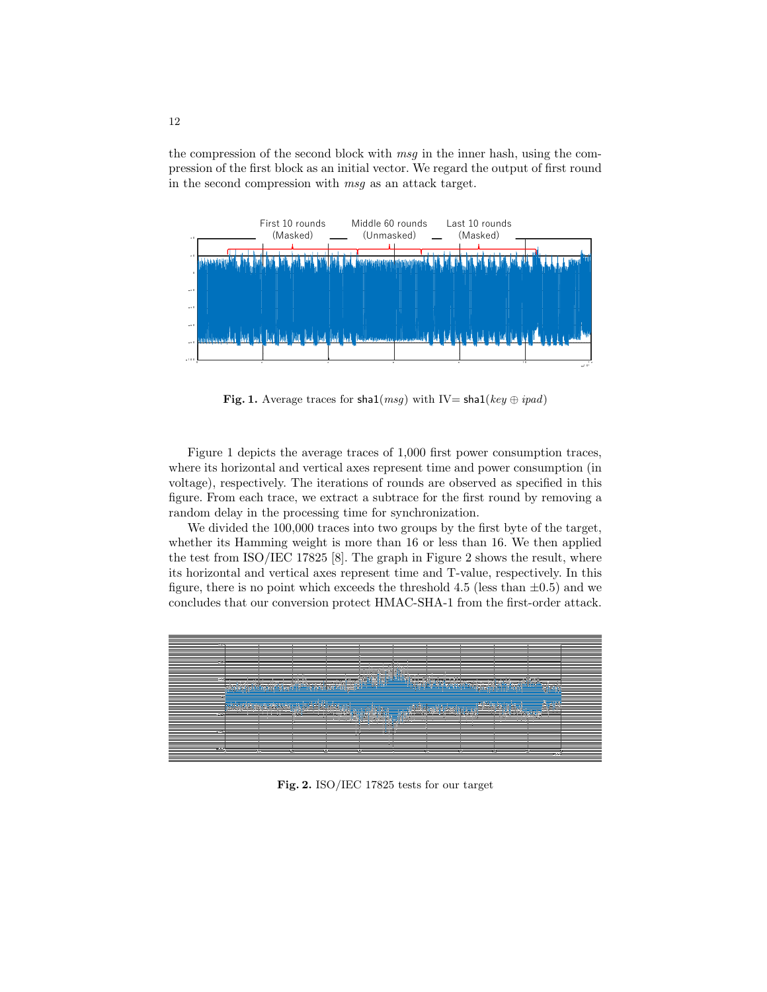the compression of the second block with *msg* in the inner hash, using the compression of the first block as an initial vector. We regard the output of first round in the second compression with *msg* as an attack target.



**Fig. 1.** Average traces for sha1( $msg$ ) with IV= sha1( $key \oplus ipad$ )

Figure 1 depicts the average traces of 1,000 first power consumption traces, where its horizontal and vertical axes represent time and power consumption (in voltage), respectively. The iterations of rounds are observed as specified in this figure. From each trace, we extract a subtrace for the first round by removing a random delay in the processing time for synchronization.

We divided the 100,000 traces into two groups by the first byte of the target, whether its Hamming weight is more than 16 or less than 16. We then applied the test from ISO/IEC 17825 [8]. The graph in Figure 2 shows the result, where its horizontal and vertical axes represent time and T-value, respectively. In this figure, there is no point which exceeds the threshold 4.5 (less than  $\pm 0.5$ ) and we concludes that our conversion protect HMAC-SHA-1 from the first-order attack.



**Fig. 2.** ISO/IEC 17825 tests for our target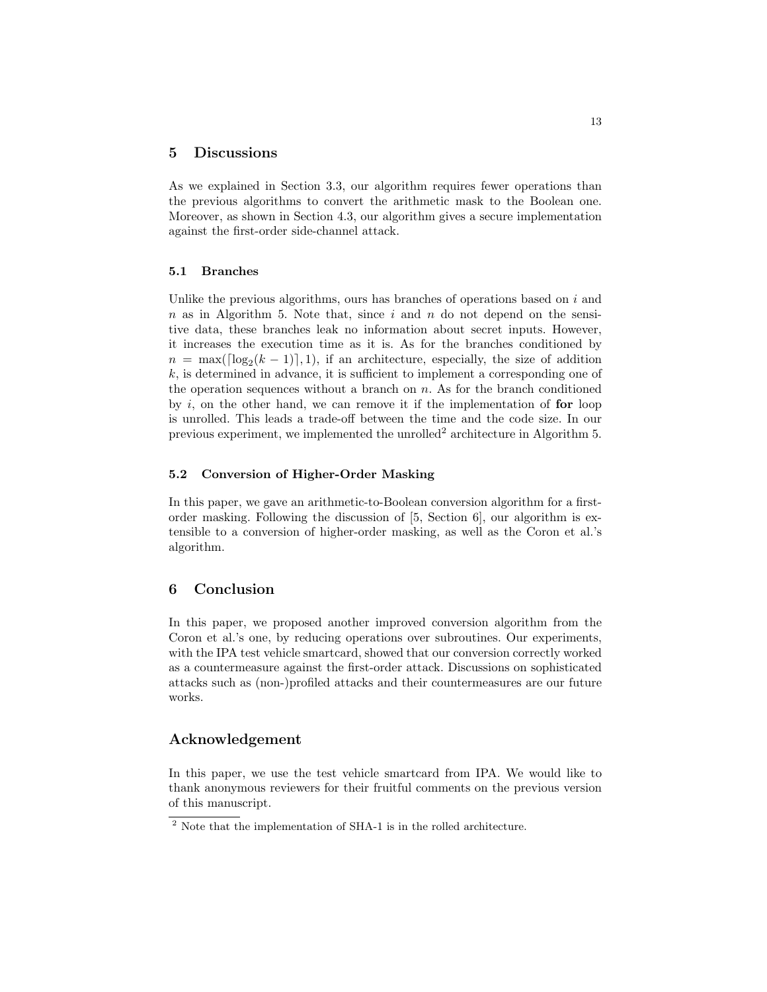## **5 Discussions**

As we explained in Section 3.3, our algorithm requires fewer operations than the previous algorithms to convert the arithmetic mask to the Boolean one. Moreover, as shown in Section 4.3, our algorithm gives a secure implementation against the first-order side-channel attack.

#### **5.1 Branches**

Unlike the previous algorithms, ours has branches of operations based on *i* and *n* as in Algorithm 5. Note that, since *i* and *n* do not depend on the sensitive data, these branches leak no information about secret inputs. However, it increases the execution time as it is. As for the branches conditioned by  $n = \max(\lceil \log_2(k-1) \rceil, 1)$ , if an architecture, especially, the size of addition *k*, is determined in advance, it is sufficient to implement a corresponding one of the operation sequences without a branch on *n*. As for the branch conditioned by *i*, on the other hand, we can remove it if the implementation of **for** loop is unrolled. This leads a trade-off between the time and the code size. In our previous experiment, we implemented the unrolled<sup>2</sup> architecture in Algorithm 5.

### **5.2 Conversion of Higher-Order Masking**

In this paper, we gave an arithmetic-to-Boolean conversion algorithm for a firstorder masking. Following the discussion of [5, Section 6], our algorithm is extensible to a conversion of higher-order masking, as well as the Coron et al.'s algorithm.

## **6 Conclusion**

In this paper, we proposed another improved conversion algorithm from the Coron et al.'s one, by reducing operations over subroutines. Our experiments, with the IPA test vehicle smartcard, showed that our conversion correctly worked as a countermeasure against the first-order attack. Discussions on sophisticated attacks such as (non-)profiled attacks and their countermeasures are our future works.

## **Acknowledgement**

In this paper, we use the test vehicle smartcard from IPA. We would like to thank anonymous reviewers for their fruitful comments on the previous version of this manuscript.

<sup>&</sup>lt;sup>2</sup> Note that the implementation of SHA-1 is in the rolled architecture.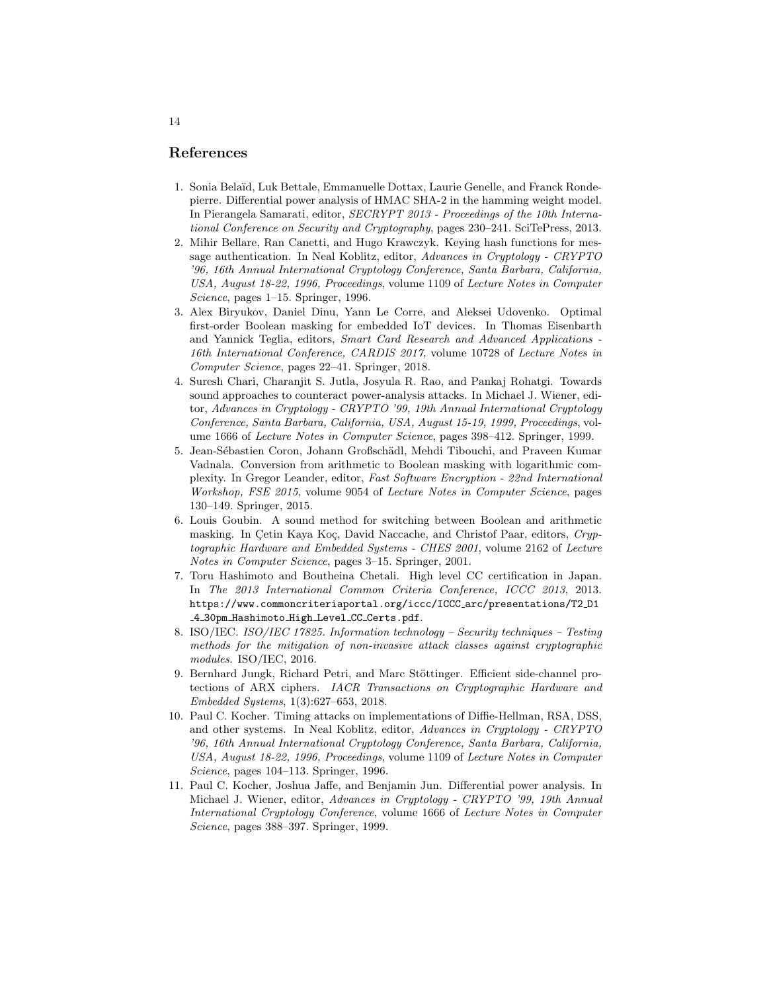## **References**

- 1. Sonia Bela¨ıd, Luk Bettale, Emmanuelle Dottax, Laurie Genelle, and Franck Rondepierre. Differential power analysis of HMAC SHA-2 in the hamming weight model. In Pierangela Samarati, editor, *SECRYPT 2013 - Proceedings of the 10th International Conference on Security and Cryptography*, pages 230–241. SciTePress, 2013.
- 2. Mihir Bellare, Ran Canetti, and Hugo Krawczyk. Keying hash functions for message authentication. In Neal Koblitz, editor, *Advances in Cryptology - CRYPTO '96, 16th Annual International Cryptology Conference, Santa Barbara, California, USA, August 18-22, 1996, Proceedings*, volume 1109 of *Lecture Notes in Computer Science*, pages 1–15. Springer, 1996.
- 3. Alex Biryukov, Daniel Dinu, Yann Le Corre, and Aleksei Udovenko. Optimal first-order Boolean masking for embedded IoT devices. In Thomas Eisenbarth and Yannick Teglia, editors, *Smart Card Research and Advanced Applications - 16th International Conference, CARDIS 2017*, volume 10728 of *Lecture Notes in Computer Science*, pages 22–41. Springer, 2018.
- 4. Suresh Chari, Charanjit S. Jutla, Josyula R. Rao, and Pankaj Rohatgi. Towards sound approaches to counteract power-analysis attacks. In Michael J. Wiener, editor, *Advances in Cryptology - CRYPTO '99, 19th Annual International Cryptology Conference, Santa Barbara, California, USA, August 15-19, 1999, Proceedings*, volume 1666 of *Lecture Notes in Computer Science*, pages 398–412. Springer, 1999.
- 5. Jean-S´ebastien Coron, Johann Großsch¨adl, Mehdi Tibouchi, and Praveen Kumar Vadnala. Conversion from arithmetic to Boolean masking with logarithmic complexity. In Gregor Leander, editor, *Fast Software Encryption - 22nd International Workshop, FSE 2015*, volume 9054 of *Lecture Notes in Computer Science*, pages 130–149. Springer, 2015.
- 6. Louis Goubin. A sound method for switching between Boolean and arithmetic masking. In Cetin Kaya Koç, David Naccache, and Christof Paar, editors, *Cryptographic Hardware and Embedded Systems - CHES 2001*, volume 2162 of *Lecture Notes in Computer Science*, pages 3–15. Springer, 2001.
- 7. Toru Hashimoto and Boutheina Chetali. High level CC certification in Japan. In *The 2013 International Common Criteria Conference, ICCC 2013*, 2013. https://www.commoncriteriaportal.org/iccc/ICCC arc/presentations/T2 D1 4 30pm Hashimoto High Level CC Certs.pdf.
- 8. ISO/IEC. *ISO/IEC 17825. Information technology Security techniques Testing methods for the mitigation of non-invasive attack classes against cryptographic modules*. ISO/IEC, 2016.
- 9. Bernhard Jungk, Richard Petri, and Marc Stöttinger. Efficient side-channel protections of ARX ciphers. *IACR Transactions on Cryptographic Hardware and Embedded Systems*, 1(3):627–653, 2018.
- 10. Paul C. Kocher. Timing attacks on implementations of Diffie-Hellman, RSA, DSS, and other systems. In Neal Koblitz, editor, *Advances in Cryptology - CRYPTO '96, 16th Annual International Cryptology Conference, Santa Barbara, California, USA, August 18-22, 1996, Proceedings*, volume 1109 of *Lecture Notes in Computer Science*, pages 104–113. Springer, 1996.
- 11. Paul C. Kocher, Joshua Jaffe, and Benjamin Jun. Differential power analysis. In Michael J. Wiener, editor, *Advances in Cryptology - CRYPTO '99, 19th Annual International Cryptology Conference*, volume 1666 of *Lecture Notes in Computer Science*, pages 388–397. Springer, 1999.

#### 14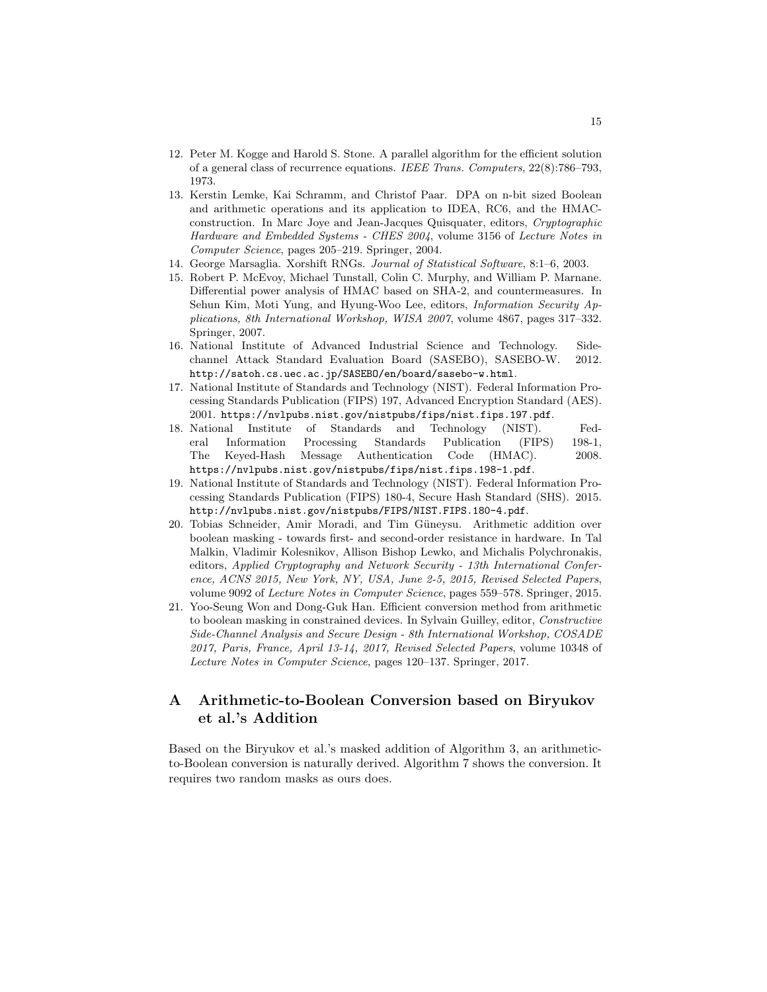- 12. Peter M. Kogge and Harold S. Stone. A parallel algorithm for the efficient solution of a general class of recurrence equations. *IEEE Trans. Computers*, 22(8):786–793, 1973.
- 13. Kerstin Lemke, Kai Schramm, and Christof Paar. DPA on n-bit sized Boolean and arithmetic operations and its application to IDEA, RC6, and the HMACconstruction. In Marc Joye and Jean-Jacques Quisquater, editors, *Cryptographic Hardware and Embedded Systems - CHES 2004*, volume 3156 of *Lecture Notes in Computer Science*, pages 205–219. Springer, 2004.
- 14. George Marsaglia. Xorshift RNGs. *Journal of Statistical Software*, 8:1–6, 2003.
- 15. Robert P. McEvoy, Michael Tunstall, Colin C. Murphy, and William P. Marnane. Differential power analysis of HMAC based on SHA-2, and countermeasures. In Sehun Kim, Moti Yung, and Hyung-Woo Lee, editors, *Information Security Applications, 8th International Workshop, WISA 2007*, volume 4867, pages 317–332. Springer, 2007.
- 16. National Institute of Advanced Industrial Science and Technology. Sidechannel Attack Standard Evaluation Board (SASEBO), SASEBO-W. 2012. http://satoh.cs.uec.ac.jp/SASEBO/en/board/sasebo-w.html.
- 17. National Institute of Standards and Technology (NIST). Federal Information Processing Standards Publication (FIPS) 197, Advanced Encryption Standard (AES). 2001. https://nvlpubs.nist.gov/nistpubs/fips/nist.fips.197.pdf.
- 18. National Institute of Standards and Technology (NIST). Federal Information Processing Standards Publication (FIPS) 198-1, The Keyed-Hash Message Authentication Code (HMAC). 2008. https://nvlpubs.nist.gov/nistpubs/fips/nist.fips.198-1.pdf.
- 19. National Institute of Standards and Technology (NIST). Federal Information Processing Standards Publication (FIPS) 180-4, Secure Hash Standard (SHS). 2015. http://nvlpubs.nist.gov/nistpubs/FIPS/NIST.FIPS.180-4.pdf.
- 20. Tobias Schneider, Amir Moradi, and Tim Güneysu. Arithmetic addition over boolean masking - towards first- and second-order resistance in hardware. In Tal Malkin, Vladimir Kolesnikov, Allison Bishop Lewko, and Michalis Polychronakis, editors, *Applied Cryptography and Network Security - 13th International Conference, ACNS 2015, New York, NY, USA, June 2-5, 2015, Revised Selected Papers*, volume 9092 of *Lecture Notes in Computer Science*, pages 559–578. Springer, 2015.
- 21. Yoo-Seung Won and Dong-Guk Han. Efficient conversion method from arithmetic to boolean masking in constrained devices. In Sylvain Guilley, editor, *Constructive Side-Channel Analysis and Secure Design - 8th International Workshop, COSADE 2017, Paris, France, April 13-14, 2017, Revised Selected Papers*, volume 10348 of *Lecture Notes in Computer Science*, pages 120–137. Springer, 2017.

# **A Arithmetic-to-Boolean Conversion based on Biryukov et al.'s Addition**

Based on the Biryukov et al.'s masked addition of Algorithm 3, an arithmeticto-Boolean conversion is naturally derived. Algorithm 7 shows the conversion. It requires two random masks as ours does.